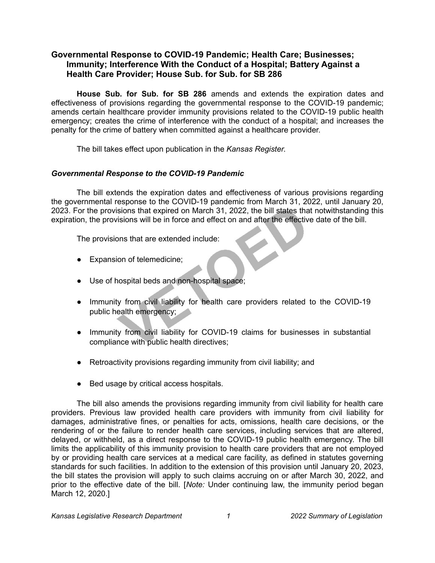## **Governmental Response to COVID-19 Pandemic; Health Care; Businesses; Immunity; Interference With the Conduct of a Hospital; Battery Against a Health Care Provider; House Sub. for Sub. for SB 286**

**House Sub. for Sub. for SB 286** amends and extends the expiration dates and effectiveness of provisions regarding the governmental response to the COVID-19 pandemic; amends certain healthcare provider immunity provisions related to the COVID-19 public health emergency; creates the crime of interference with the conduct of a hospital; and increases the penalty for the crime of battery when committed against a healthcare provider.

The bill takes effect upon publication in the *Kansas Register*.

## *Governmental Response to the COVID-19 Pandemic*

The bill extends the expiration dates and effectiveness of various provisions regarding the governmental response to the COVID-19 pandemic from March 31, 2022, until January 20, 2023. For the provisions that expired on March 31, 2022, the bill states that notwithstanding this expiration, the provisions will be in force and effect on and after the effective date of the bill.

The provisions that are extended include:

- Expansion of telemedicine;
- Use of hospital beds and non-hospital space;
- Immunity from civil liability for health care providers related to the COVID-19 public health emergency;
- Immunity from civil liability for COVID-19 claims for businesses in substantial compliance with public health directives;
- Retroactivity provisions regarding immunity from civil liability; and
- Bed usage by critical access hospitals.

The bill also amends the provisions regarding immunity from civil liability for health care providers. Previous law provided health care providers with immunity from civil liability for damages, administrative fines, or penalties for acts, omissions, health care decisions, or the rendering of or the failure to render health care services, including services that are altered, delayed, or withheld, as a direct response to the COVID-19 public health emergency. The bill limits the applicability of this immunity provision to health care providers that are not employed by or providing health care services at a medical care facility, as defined in statutes governing standards for such facilities. In addition to the extension of this provision until January 20, 2023, the bill states the provision will apply to such claims accruing on or after March 30, 2022, and prior to the effective date of the bill. [*Note:* Under continuing law, the immunity period began March 12, 2020.]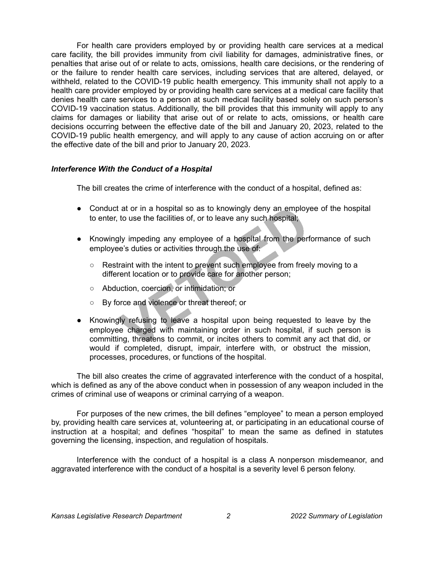For health care providers employed by or providing health care services at a medical care facility, the bill provides immunity from civil liability for damages, administrative fines, or penalties that arise out of or relate to acts, omissions, health care decisions, or the rendering of or the failure to render health care services, including services that are altered, delayed, or withheld, related to the COVID-19 public health emergency. This immunity shall not apply to a health care provider employed by or providing health care services at a medical care facility that denies health care services to a person at such medical facility based solely on such person's COVID-19 vaccination status. Additionally, the bill provides that this immunity will apply to any claims for damages or liability that arise out of or relate to acts, omissions, or health care decisions occurring between the effective date of the bill and January 20, 2023, related to the COVID-19 public health emergency, and will apply to any cause of action accruing on or after the effective date of the bill and prior to January 20, 2023.

## *Interference With the Conduct of a Hospital*

The bill creates the crime of interference with the conduct of a hospital, defined as:

- Conduct at or in a hospital so as to knowingly deny an employee of the hospital to enter, to use the facilities of, or to leave any such hospital;
- Knowingly impeding any employee of a hospital from the performance of such employee's duties or activities through the use of:
	- $\circ$  Restraint with the intent to prevent such employee from freely moving to a different location or to provide care for another person;
	- Abduction, coercion, or intimidation; or
	- By force and violence or threat thereof; or
- Knowingly refusing to leave a hospital upon being requested to leave by the employee charged with maintaining order in such hospital, if such person is committing, threatens to commit, or incites others to commit any act that did, or would if completed, disrupt, impair, interfere with, or obstruct the mission, processes, procedures, or functions of the hospital.

The bill also creates the crime of aggravated interference with the conduct of a hospital, which is defined as any of the above conduct when in possession of any weapon included in the crimes of criminal use of weapons or criminal carrying of a weapon.

For purposes of the new crimes, the bill defines "employee" to mean a person employed by, providing health care services at, volunteering at, or participating in an educational course of instruction at a hospital; and defines "hospital" to mean the same as defined in statutes governing the licensing, inspection, and regulation of hospitals.

Interference with the conduct of a hospital is a class A nonperson misdemeanor, and aggravated interference with the conduct of a hospital is a severity level 6 person felony.